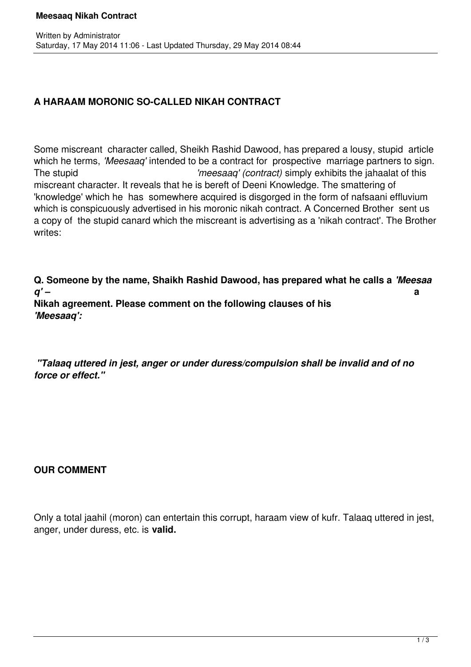### **Meesaaq Nikah Contract**

## **A HARAAM MORONIC SO-CALLED NIKAH CONTRACT**

Some miscreant character called, Sheikh Rashid Dawood, has prepared a lousy, stupid article which he terms, *'Meesaag'* intended to be a contract for prospective marriage partners to sign. The stupid *'meesaaq' (contract)* simply exhibits the jahaalat of this miscreant character. It reveals that he is bereft of Deeni Knowledge. The smattering of 'knowledge' which he has somewhere acquired is disgorged in the form of nafsaani effluvium which is conspicuously advertised in his moronic nikah contract. A Concerned Brother sent us a copy of the stupid canard which the miscreant is advertising as a 'nikah contract'. The Brother writes:

**Q. Someone by the name, Shaikh Rashid Dawood, has prepared what he calls a** *'Meesaa q' –* **a Nikah agreement. Please comment on the following clauses of his** 

*'Meesaaq':*

 *"Talaaq uttered in jest, anger or under duress/compulsion shall be invalid and of no force or effect."*

### **OUR COMMENT**

Only a total jaahil (moron) can entertain this corrupt, haraam view of kufr. Talaaq uttered in jest, anger, under duress, etc. is **valid.**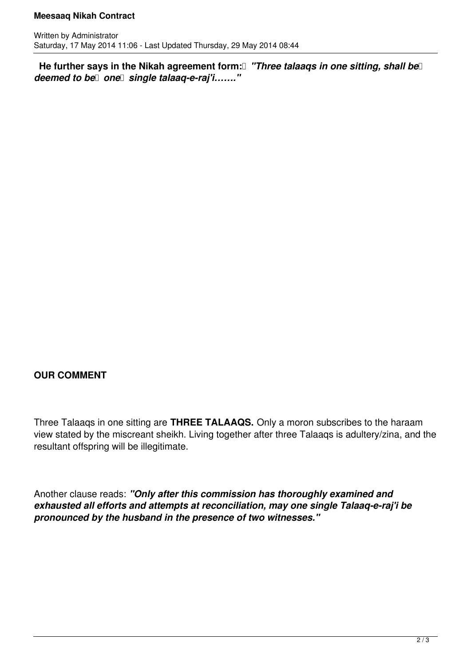### **Meesaaq Nikah Contract**

He further says in the Nikah agreement form:<sup>[]</sup> "Three talaaqs in one sitting, shall be *deemed to be* one single talaaq-e-raj'i......."

# **OUR COMMENT**

Three Talaaqs in one sitting are **THREE TALAAQS.** Only a moron subscribes to the haraam view stated by the miscreant sheikh. Living together after three Talaaqs is adultery/zina, and the resultant offspring will be illegitimate.

Another clause reads: *"Only after this commission has thoroughly examined and exhausted all efforts and attempts at reconciliation, may one single Talaaq-e-raj'i be pronounced by the husband in the presence of two witnesses."*